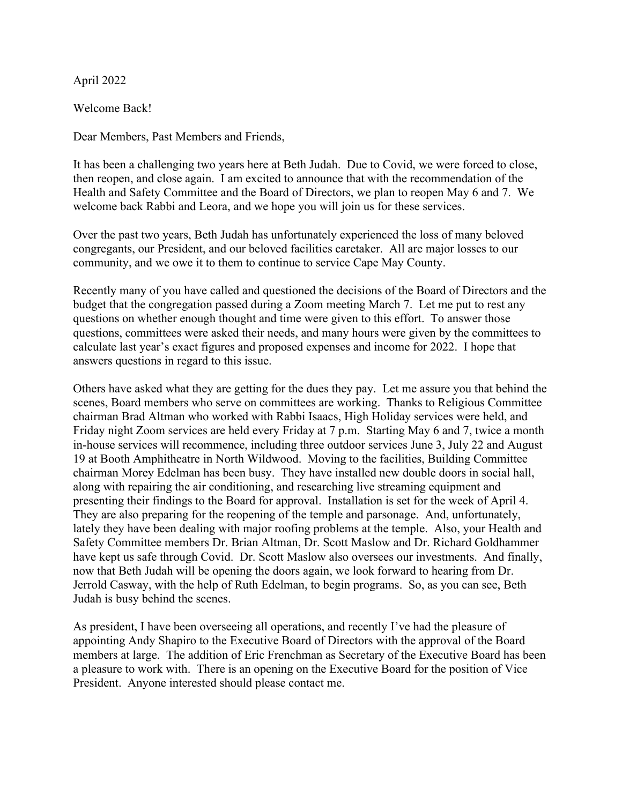## April 2022

Welcome Back!

Dear Members, Past Members and Friends,

It has been a challenging two years here at Beth Judah. Due to Covid, we were forced to close, then reopen, and close again. I am excited to announce that with the recommendation of the Health and Safety Committee and the Board of Directors, we plan to reopen May 6 and 7. We welcome back Rabbi and Leora, and we hope you will join us for these services.

Over the past two years, Beth Judah has unfortunately experienced the loss of many beloved congregants, our President, and our beloved facilities caretaker. All are major losses to our community, and we owe it to them to continue to service Cape May County.

Recently many of you have called and questioned the decisions of the Board of Directors and the budget that the congregation passed during a Zoom meeting March 7. Let me put to rest any questions on whether enough thought and time were given to this effort. To answer those questions, committees were asked their needs, and many hours were given by the committees to calculate last year's exact figures and proposed expenses and income for 2022. I hope that answers questions in regard to this issue.

Others have asked what they are getting for the dues they pay. Let me assure you that behind the scenes, Board members who serve on committees are working. Thanks to Religious Committee chairman Brad Altman who worked with Rabbi Isaacs, High Holiday services were held, and Friday night Zoom services are held every Friday at 7 p.m. Starting May 6 and 7, twice a month in-house services will recommence, including three outdoor services June 3, July 22 and August 19 at Booth Amphitheatre in North Wildwood. Moving to the facilities, Building Committee chairman Morey Edelman has been busy. They have installed new double doors in social hall, along with repairing the air conditioning, and researching live streaming equipment and presenting their findings to the Board for approval. Installation is set for the week of April 4. They are also preparing for the reopening of the temple and parsonage. And, unfortunately, lately they have been dealing with major roofing problems at the temple. Also, your Health and Safety Committee members Dr. Brian Altman, Dr. Scott Maslow and Dr. Richard Goldhammer have kept us safe through Covid. Dr. Scott Maslow also oversees our investments. And finally, now that Beth Judah will be opening the doors again, we look forward to hearing from Dr. Jerrold Casway, with the help of Ruth Edelman, to begin programs. So, as you can see, Beth Judah is busy behind the scenes.

As president, I have been overseeing all operations, and recently I've had the pleasure of appointing Andy Shapiro to the Executive Board of Directors with the approval of the Board members at large. The addition of Eric Frenchman as Secretary of the Executive Board has been a pleasure to work with. There is an opening on the Executive Board for the position of Vice President. Anyone interested should please contact me.